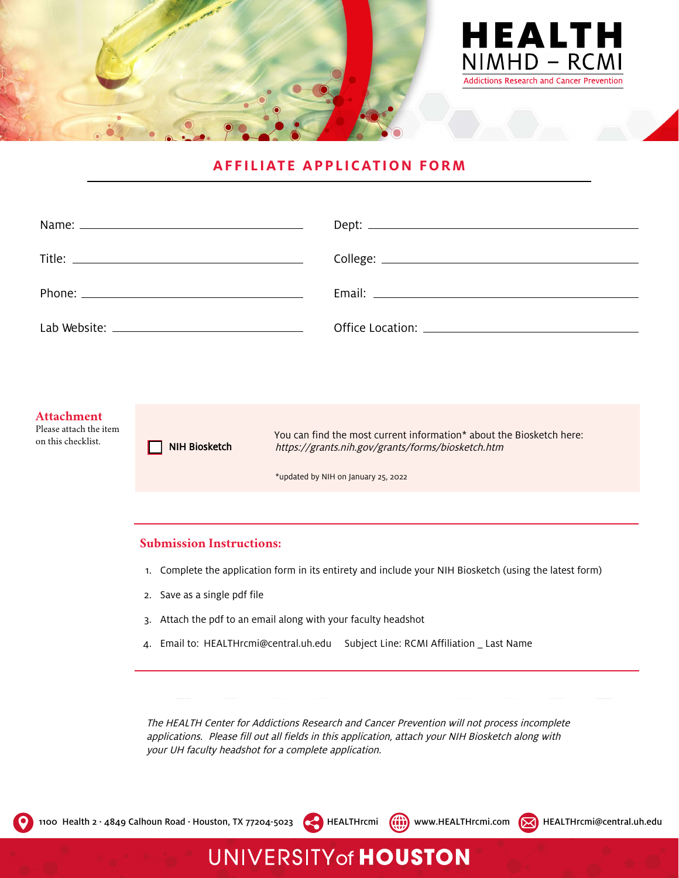

## **AFFILIATE APPLICATION FORM**

| Email: <u>Alexander Andrew Maria and Alexander Andrew Maria and Alexander Andrew Maria and Alexander Andrew Maria and Alexander Andrew Maria and Alexander Andrew Maria and Alexander Andrew Maria and Alexander Andrew Maria an</u> |
|--------------------------------------------------------------------------------------------------------------------------------------------------------------------------------------------------------------------------------------|
|                                                                                                                                                                                                                                      |

#### **Attachment** Please attach the item on this checklist. NIH Biosketch You can find the most current information\* about the Biosketch here: <https://grants.nih.gov/grants/forms/biosketch.htm> \*updated by NIH on January 25, 2022

### **Submission Instructions:**

- 1. Complete the application form in its entirety and include your NIH Biosketch (using the latest form)
- 2. Save as a single pdf file
- 3. Attach the pdf to an email along with your faculty headshot
- 4. Email to: [HEALTHrcmi@central.uh.edu](mailto:HEALTHrcmi@central.uh.edu) Subject Line: RCMI Affiliation \_ Last Name

**UNIVERSITY of HOUSTON** 

The HEALTH Center for Addictions Research and Cancer Prevention will not process incomplete applications. Please fill out all fields in this application, attach your NIH Biosketch along with your UH faculty headshot for a complete application.